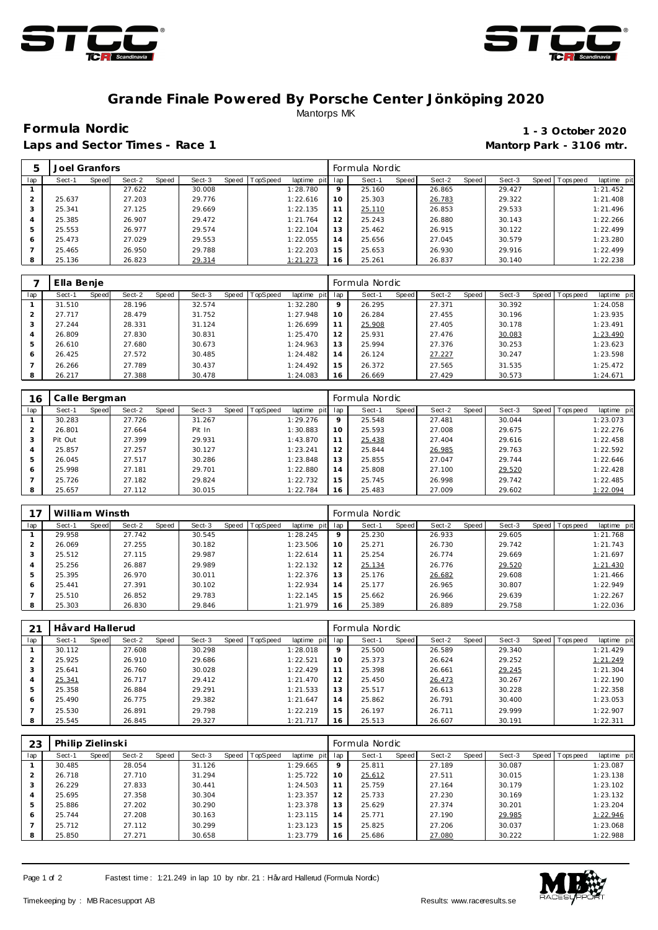



## **Grande Finale Powered By Porsche Center Jönköping 2020** Mantorps MK

Laps and Sector Times - Race 1 **Mantorp Park - 3106 mtr.** 

## **Formula Nordic 1 - 3 October 2020**

|     | Joel Granfors |       |        |       |        |       |          |             |     | Formula Nordic |       |        |       |        |         |           |             |
|-----|---------------|-------|--------|-------|--------|-------|----------|-------------|-----|----------------|-------|--------|-------|--------|---------|-----------|-------------|
| lap | Sect-1        | Speed | Sect-2 | Speed | Sect-3 | Speed | TopSpeed | laptime pit | lap | Sect-1         | Speed | Sect-2 | Speed | Sect-3 | Speed I | Tops peed | laptime pit |
|     |               |       | 27.622 |       | 30.008 |       |          | 1:28.780    | 9   | 25.160         |       | 26.865 |       | 29.427 |         |           | 1:21.452    |
| 2   | 25.637        |       | 27.203 |       | 29.776 |       |          | 1:22.616    | 10  | 25.303         |       | 26.783 |       | 29.322 |         |           | 1:21.408    |
|     | 25.341        |       | 27.125 |       | 29.669 |       |          | 1:22.135    | 11  | 25.110         |       | 26.853 |       | 29.533 |         |           | 1:21.496    |
|     | 25.385        |       | 26.907 |       | 29.472 |       |          | 1:21.764    | 12  | 25.243         |       | 26.880 |       | 30.143 |         |           | 1:22.266    |
| 5   | 25.553        |       | 26.977 |       | 29.574 |       |          | 1:22.104    | 13  | 25.462         |       | 26.915 |       | 30.122 |         |           | 1:22.499    |
| 6   | 25.473        |       | 27.029 |       | 29.553 |       |          | 1:22.055    | 14  | 25.656         |       | 27.045 |       | 30.579 |         |           | 1:23.280    |
|     | 25.465        |       | 26.950 |       | 29.788 |       |          | 1:22.203    | 15  | 25.653         |       | 26.930 |       | 29.916 |         |           | 1:22.499    |
| 8   | 25.136        |       | 26.823 |       | 29.314 |       |          | 1:21.273    | 16  | 25.261         |       | 26.837 |       | 30.140 |         |           | 1:22.238    |

|     | Ella Benje |       |        |       |        |       |          |                |         | Formula Nordic |       |        |       |        |         |            |             |
|-----|------------|-------|--------|-------|--------|-------|----------|----------------|---------|----------------|-------|--------|-------|--------|---------|------------|-------------|
| lap | Sect-1     | Speed | Sect-2 | Speed | Sect-3 | Speed | TopSpeed | laptime<br>pit | lap     | Sect-1         | Speed | Sect-2 | Speed | Sect-3 | Speed I | Tops pee d | laptime pit |
|     | 31.510     |       | 28.196 |       | 32.574 |       |          | 1:32.280       | $\circ$ | 26.295         |       | 27.371 |       | 30.392 |         |            | 1:24.058    |
|     | 27.717     |       | 28.479 |       | 31.752 |       |          | 1:27.948       | 10      | 26.284         |       | 27.455 |       | 30.196 |         |            | 1:23.935    |
|     | 27.244     |       | 28.331 |       | 31.124 |       |          | 1:26.699       |         | 25.908         |       | 27.405 |       | 30.178 |         |            | 1:23.491    |
|     | 26.809     |       | 27.830 |       | 30.831 |       |          | 1:25.470       | 12      | 25.931         |       | 27.476 |       | 30.083 |         |            | 1:23.490    |
|     | 26.610     |       | 27.680 |       | 30.673 |       |          | 1:24.963       | 13      | 25.994         |       | 27.376 |       | 30.253 |         |            | 1:23.623    |
| 6   | 26.425     |       | 27.572 |       | 30.485 |       |          | 1:24.482       | 14      | 26.124         |       | 27.227 |       | 30.247 |         |            | 1:23.598    |
|     | 26.266     |       | 27.789 |       | 30.437 |       |          | 1:24.492       | 15      | 26.372         |       | 27.565 |       | 31.535 |         |            | 1:25.472    |
|     | 26.217     |       | 27.388 |       | 30.478 |       |          | 1:24.083       | 16      | 26.669         |       | 27.429 |       | 30.573 |         |            | 1:24.671    |

| 16  | Calle Bergman |       |        |       |        |       |          |             |     | Formula Nordic |       |        |       |        |       |           |             |
|-----|---------------|-------|--------|-------|--------|-------|----------|-------------|-----|----------------|-------|--------|-------|--------|-------|-----------|-------------|
| lap | Sect-1        | Speed | Sect-2 | Speed | Sect-3 | Speed | TopSpeed | laptime pit | lap | Sect-1         | Speed | Sect-2 | Speed | Sect-3 | Speed | Tops peed | laptime pit |
|     | 30.283        |       | 27.726 |       | 31.267 |       |          | 1:29.276    | 9   | 25.548         |       | 27.481 |       | 30.044 |       |           | 1:23.073    |
|     | 26.801        |       | 27.664 |       | Pit In |       |          | 1:30.883    | 10  | 25.593         |       | 27.008 |       | 29.675 |       |           | 1:22.276    |
| 3   | Pit Out       |       | 27.399 |       | 29.931 |       |          | 1:43.870    | 11  | 25.438         |       | 27.404 |       | 29.616 |       |           | 1:22.458    |
| 4   | 25.857        |       | 27.257 |       | 30.127 |       |          | 1:23.241    | 12  | 25.844         |       | 26.985 |       | 29.763 |       |           | 1:22.592    |
| 5   | 26.045        |       | 27.517 |       | 30.286 |       |          | 1:23.848    | 13  | 25.855         |       | 27.047 |       | 29.744 |       |           | 1:22.646    |
| 6   | 25.998        |       | 27.181 |       | 29.701 |       |          | 1:22.880    | 14  | 25.808         |       | 27.100 |       | 29.520 |       |           | 1:22.428    |
|     | 25.726        |       | 27.182 |       | 29.824 |       |          | 1:22.732    | 15  | 25.745         |       | 26.998 |       | 29.742 |       |           | 1:22.485    |
| 8   | 25.657        |       | 27.112 |       | 30.015 |       |          | 1:22.784    | 16  | 25.483         |       | 27.009 |       | 29.602 |       |           | 1:22.094    |

|     | William Winsth |       |        |       |        |                |             |         | Formula Nordic |       |        |         |        |                |             |
|-----|----------------|-------|--------|-------|--------|----------------|-------------|---------|----------------|-------|--------|---------|--------|----------------|-------------|
| lap | Sect-1         | Speed | Sect-2 | Speed | Sect-3 | Speed TopSpeed | laptime pit | lap     | Sect-1         | Speed | Sect-2 | Speed I | Sect-3 | Speed Topspeed | laptime pit |
|     | 29.958         |       | 27.742 |       | 30.545 |                | 1:28.245    | $\circ$ | 25.230         |       | 26.933 |         | 29.605 |                | 1:21.768    |
|     | 26.069         |       | 27.255 |       | 30.182 |                | 1:23.506    | 10      | 25.271         |       | 26.730 |         | 29.742 |                | 1:21.743    |
|     | 25.512         |       | 27.115 |       | 29.987 |                | 1:22.614    | 11      | 25.254         |       | 26.774 |         | 29.669 |                | 1:21.697    |
| 4   | 25.256         |       | 26.887 |       | 29.989 |                | 1:22.132    | 12      | 25.134         |       | 26.776 |         | 29.520 |                | 1:21.430    |
| 5   | 25.395         |       | 26.970 |       | 30.011 |                | 1:22.376    | 13      | 25.176         |       | 26.682 |         | 29.608 |                | 1:21.466    |
| 6   | 25.441         |       | 27.391 |       | 30.102 |                | 1:22.934    | 14      | 25.177         |       | 26.965 |         | 30.807 |                | 1:22.949    |
|     | 25.510         |       | 26.852 |       | 29.783 |                | 1:22.145    | 15      | 25.662         |       | 26.966 |         | 29.639 |                | 1:22.267    |
| 8   | 25.303         |       | 26.830 |       | 29.846 |                | 1:21.979    | 16      | 25.389         |       | 26.889 |         | 29.758 |                | 1:22.036    |

|     | Håvard Hallerud |       |        |       |        |                |             |         | Formula Nordic |       |        |       |        |                 |             |
|-----|-----------------|-------|--------|-------|--------|----------------|-------------|---------|----------------|-------|--------|-------|--------|-----------------|-------------|
| lap | Sect-1          | Speed | Sect-2 | Speed | Sect-3 | Speed TopSpeed | laptime pit | lap     | Sect-1         | Speed | Sect-2 | Speed | Sect-3 | Speed Tops peed | laptime pit |
|     | 30.112          |       | 27.608 |       | 30.298 |                | 1:28.018    | $\circ$ | 25.500         |       | 26.589 |       | 29.340 |                 | 1:21.429    |
|     | 25.925          |       | 26.910 |       | 29.686 |                | 1:22.521    | 10      | 25.373         |       | 26.624 |       | 29.252 |                 | 1:21.249    |
| 3   | 25.641          |       | 26.760 |       | 30.028 |                | 1:22.429    | 11      | 25.398         |       | 26.661 |       | 29.245 |                 | 1:21.304    |
|     | 25.341          |       | 26.717 |       | 29.412 |                | 1:21.470    | 12      | 25.450         |       | 26.473 |       | 30.267 |                 | 1:22.190    |
| 5   | 25.358          |       | 26.884 |       | 29.291 |                | 1:21.533    | 13      | 25.517         |       | 26.613 |       | 30.228 |                 | 1:22.358    |
| 6   | 25.490          |       | 26.775 |       | 29.382 |                | 1:21.647    | 14      | 25.862         |       | 26.791 |       | 30.400 |                 | 1:23.053    |
|     | 25.530          |       | 26.891 |       | 29.798 |                | 1:22.219    | 15      | 26.197         |       | 26.711 |       | 29.999 |                 | 1:22.907    |
| 8   | 25.545          |       | 26.845 |       | 29.327 |                | 1:21.717    | 16      | 25.513         |       | 26.607 |       | 30.191 |                 | 1:22.311    |

| 23  | Philip Zielinski |       |        |       |        |       |          |             |              | Formula Nordic |       |        |       |        |       |           |             |
|-----|------------------|-------|--------|-------|--------|-------|----------|-------------|--------------|----------------|-------|--------|-------|--------|-------|-----------|-------------|
| lap | Sect-1           | Speed | Sect-2 | Speed | Sect-3 | Speed | TopSpeed | laptime pit | lap          | Sect-1         | Speed | Sect-2 | Speed | Sect-3 | Speed | Tops peed | laptime pit |
|     | 30.485           |       | 28.054 |       | 31.126 |       |          | 1:29.665    | $\mathsf{Q}$ | 25.811         |       | 27.189 |       | 30.087 |       |           | 1:23.087    |
|     | 26.718           |       | 27.710 |       | 31.294 |       |          | 1:25.722    | 10           | 25.612         |       | 27.511 |       | 30.015 |       |           | 1:23.138    |
|     | 26.229           |       | 27.833 |       | 30.441 |       |          | 1:24.503    | 11           | 25.759         |       | 27.164 |       | 30.179 |       |           | 1:23.102    |
| 4   | 25.695           |       | 27.358 |       | 30.304 |       |          | 1:23.357    | 12           | 25.733         |       | 27.230 |       | 30.169 |       |           | 1:23.132    |
| 5   | 25.886           |       | 27.202 |       | 30.290 |       |          | 1:23.378    | 13           | 25.629         |       | 27.374 |       | 30.201 |       |           | 1:23.204    |
| 6   | 25.744           |       | 27.208 |       | 30.163 |       |          | 1:23.115    | 14           | 25.771         |       | 27.190 |       | 29.985 |       |           | 1:22.946    |
|     | 25.712           |       | 27.112 |       | 30.299 |       |          | 1:23.123    | 15           | 25.825         |       | 27.206 |       | 30.037 |       |           | 1:23.068    |
| 8   | 25.850           |       | 27.271 |       | 30.658 |       |          | 1:23.779    | 16           | 25.686         |       | 27.080 |       | 30.222 |       |           | 1:22.988    |